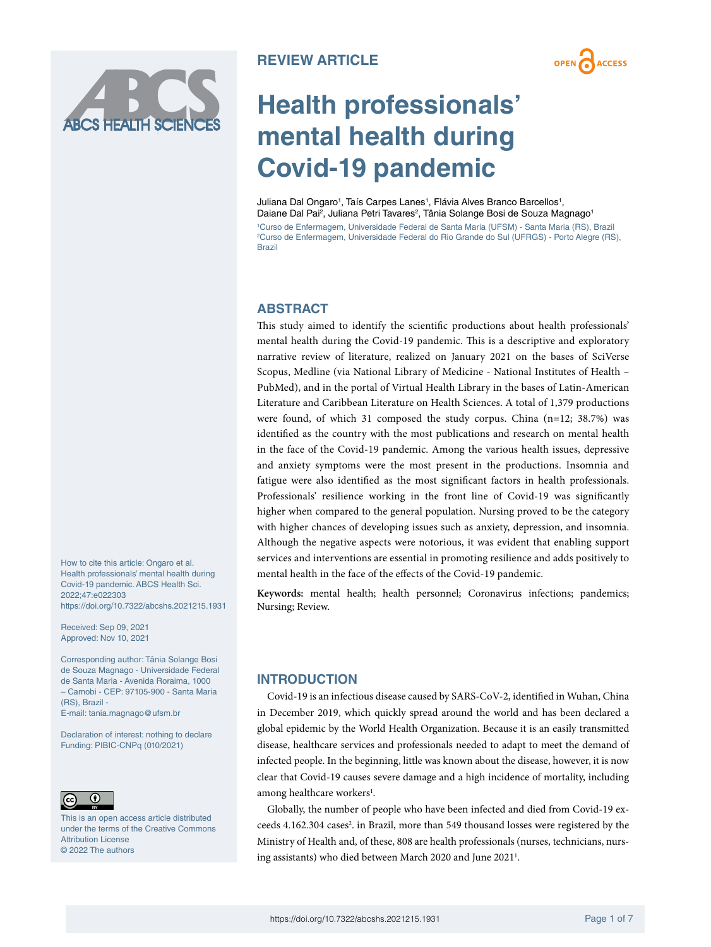**OPEN ACCESS** 

# **Health professionals' mental health during Covid-19 pandemic**

Juliana Dal Ongaro<sup>1</sup>, Taís Carpes Lanes<sup>1</sup>, Flávia Alves Branco Barcellos<sup>1</sup>, Daiane Dal Pai<sup>2</sup>, Juliana Petri Tavares<sup>2</sup>, Tânia Solange Bosi de Souza Magnago<sup>1</sup>

1 Curso de Enfermagem, Universidade Federal de Santa Maria (UFSM) - Santa Maria (RS), Brazil 2 Curso de Enfermagem, Universidade Federal do Rio Grande do Sul (UFRGS) - Porto Alegre (RS), Brazil

## **ABSTRACT**

This study aimed to identify the scientific productions about health professionals' mental health during the Covid-19 pandemic. This is a descriptive and exploratory narrative review of literature, realized on January 2021 on the bases of SciVerse Scopus, Medline (via National Library of Medicine - National Institutes of Health – PubMed), and in the portal of Virtual Health Library in the bases of Latin-American Literature and Caribbean Literature on Health Sciences. A total of 1,379 productions were found, of which 31 composed the study corpus. China (n=12; 38.7%) was identified as the country with the most publications and research on mental health in the face of the Covid-19 pandemic. Among the various health issues, depressive and anxiety symptoms were the most present in the productions. Insomnia and fatigue were also identified as the most significant factors in health professionals. Professionals' resilience working in the front line of Covid-19 was significantly higher when compared to the general population. Nursing proved to be the category with higher chances of developing issues such as anxiety, depression, and insomnia. Although the negative aspects were notorious, it was evident that enabling support services and interventions are essential in promoting resilience and adds positively to mental health in the face of the effects of the Covid-19 pandemic.

**Keywords:** mental health; health personnel; Coronavirus infections; pandemics; Nursing; Review.

#### How to cite this article: Ongaro et al. Health professionals' mental health during Covid-19 pandemic. ABCS Health Sci. 2022;47:e022303 [https://doi.org/10.7322/abcshs.2021215.1931](htt﻿ps://doi.org/10.7322/abcshs.2021215.1931)

Received: Sep 09, 2021 Approved: Nov 10, 2021

Corresponding author: Tânia Solange Bosi de Souza Magnago - Universidade Federal de Santa Maria - Avenida Roraima, 1000 – Camobi - CEP: 97105-900 - Santa Maria (RS), Brazil -

E-mail: [tania.magnago@ufsm.br](mailto:tania.magnago@ufsm.br)

Declaration of interest: nothing to declare Funding: PIBIC-CNPq (010/2021)



This is an open access article distributed under the terms of the Creative Commons Attribution License © 2022 The authors

# **INTRODUCTION**

Covid-19 is an infectious disease caused by SARS-CoV-2, identified in Wuhan, China in December 2019, which quickly spread around the world and has been declared a global epidemic by the World Health Organization. Because it is an easily transmitted disease, healthcare services and professionals needed to adapt to meet the demand of infected people. In the beginning, little was known about the disease, however, it is now clear that Covid-19 causes severe damage and a high incidence of mortality, including among healthcare workers<sup>1</sup>.

Globally, the number of people who have been infected and died from Covid-19 exceeds 4.162.304 cases<sup>2</sup>. in Brazil, more than 549 thousand losses were registered by the Ministry of Health and, of these, 808 are health professionals (nurses, technicians, nursing assistants) who died between March 2020 and June 2021<sup>1</sup>.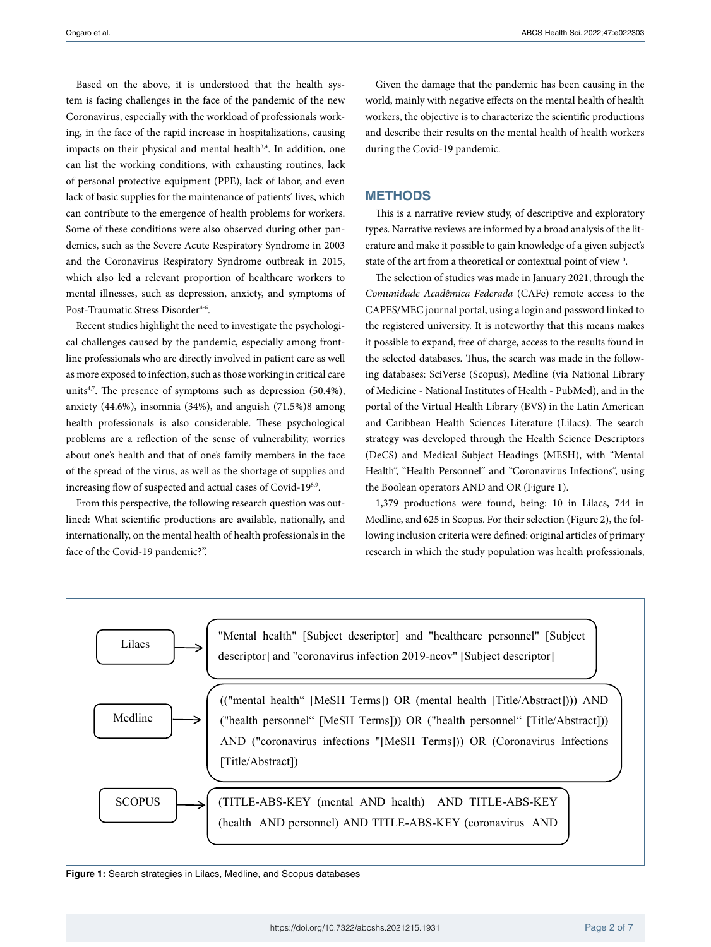Based on the above, it is understood that the health system is facing challenges in the face of the pandemic of the new Coronavirus, especially with the workload of professionals working, in the face of the rapid increase in hospitalizations, causing impacts on their physical and mental health<sup>3,4</sup>. In addition, one can list the working conditions, with exhausting routines, lack of personal protective equipment (PPE), lack of labor, and even lack of basic supplies for the maintenance of patients' lives, which can contribute to the emergence of health problems for workers. Some of these conditions were also observed during other pandemics, such as the Severe Acute Respiratory Syndrome in 2003 and the Coronavirus Respiratory Syndrome outbreak in 2015, which also led a relevant proportion of healthcare workers to mental illnesses, such as depression, anxiety, and symptoms of Post-Traumatic Stress Disorder<sup>4-6</sup>.

Recent studies highlight the need to investigate the psychological challenges caused by the pandemic, especially among frontline professionals who are directly involved in patient care as well as more exposed to infection, such as those working in critical care units<sup>4,7</sup>. The presence of symptoms such as depression (50.4%), anxiety (44.6%), insomnia (34%), and anguish (71.5%)8 among health professionals is also considerable. These psychological problems are a reflection of the sense of vulnerability, worries about one's health and that of one's family members in the face of the spread of the virus, as well as the shortage of supplies and increasing flow of suspected and actual cases of Covid-198,9.

From this perspective, the following research question was outlined: What scientific productions are available, nationally, and internationally, on the mental health of health professionals in the face of the Covid-19 pandemic?".

Given the damage that the pandemic has been causing in the world, mainly with negative effects on the mental health of health workers, the objective is to characterize the scientific productions and describe their results on the mental health of health workers during the Covid-19 pandemic.

### **METHODS**

This is a narrative review study, of descriptive and exploratory types. Narrative reviews are informed by a broad analysis of the literature and make it possible to gain knowledge of a given subject's state of the art from a theoretical or contextual point of view<sup>10</sup>.

The selection of studies was made in January 2021, through the *Comunidade Acadêmica Federada* (CAFe) remote access to the CAPES/MEC journal portal, using a login and password linked to the registered university. It is noteworthy that this means makes it possible to expand, free of charge, access to the results found in the selected databases. Thus, the search was made in the following databases: SciVerse (Scopus), Medline (via National Library of Medicine - National Institutes of Health - PubMed), and in the portal of the Virtual Health Library (BVS) in the Latin American and Caribbean Health Sciences Literature (Lilacs). The search strategy was developed through the Health Science Descriptors (DeCS) and Medical Subject Headings (MESH), with "Mental Health", "Health Personnel" and "Coronavirus Infections", using the Boolean operators AND and OR (Figure 1).

1,379 productions were found, being: 10 in Lilacs, 744 in Medline, and 625 in Scopus. For their selection (Figure 2), the following inclusion criteria were defined: original articles of primary research in which the study population was health professionals,



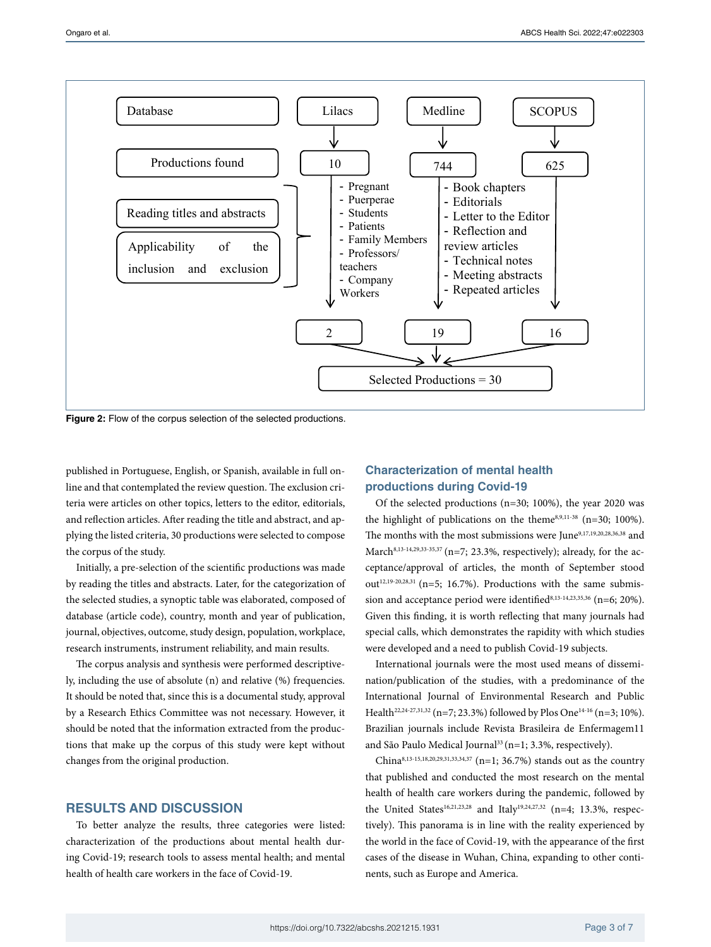

**Figure 2:** Flow of the corpus selection of the selected productions.

published in Portuguese, English, or Spanish, available in full online and that contemplated the review question. The exclusion criteria were articles on other topics, letters to the editor, editorials, and reflection articles. After reading the title and abstract, and applying the listed criteria, 30 productions were selected to compose the corpus of the study.

Initially, a pre-selection of the scientific productions was made by reading the titles and abstracts. Later, for the categorization of the selected studies, a synoptic table was elaborated, composed of database (article code), country, month and year of publication, journal, objectives, outcome, study design, population, workplace, research instruments, instrument reliability, and main results.

The corpus analysis and synthesis were performed descriptively, including the use of absolute (n) and relative (%) frequencies. It should be noted that, since this is a documental study, approval by a Research Ethics Committee was not necessary. However, it should be noted that the information extracted from the productions that make up the corpus of this study were kept without changes from the original production.

## **RESULTS AND DISCUSSION**

To better analyze the results, three categories were listed: characterization of the productions about mental health during Covid-19; research tools to assess mental health; and mental health of health care workers in the face of Covid-19.

# **Characterization of mental health productions during Covid-19**

Of the selected productions (n=30; 100%), the year 2020 was the highlight of publications on the theme<sup>8,9,11-38</sup> (n=30; 100%). The months with the most submissions were June<sup>9,17,19,20,28,36,38</sup> and March<sup>8,13-14,29,33-35,37</sup> (n=7; 23.3%, respectively); already, for the acceptance/approval of articles, the month of September stood out<sup>12,19-20,28,31</sup> (n=5; 16.7%). Productions with the same submission and acceptance period were identified<sup>8,13-14,23,35,36</sup> (n=6; 20%). Given this finding, it is worth reflecting that many journals had special calls, which demonstrates the rapidity with which studies were developed and a need to publish Covid-19 subjects.

International journals were the most used means of dissemination/publication of the studies, with a predominance of the International Journal of Environmental Research and Public Health<sup>22,24-27,31,32</sup> (n=7; 23.3%) followed by Plos One<sup>14-16</sup> (n=3; 10%). Brazilian journals include Revista Brasileira de Enfermagem11 and São Paulo Medical Journal<sup>33</sup> (n=1; 3.3%, respectively).

China<sup>8,13-15,18,20,29,31,33,34,37</sup> (n=1; 36.7%) stands out as the country that published and conducted the most research on the mental health of health care workers during the pandemic, followed by the United States<sup>16,21,23,28</sup> and Italy<sup>19,24,27,32</sup> (n=4; 13.3%, respectively). This panorama is in line with the reality experienced by the world in the face of Covid-19, with the appearance of the first cases of the disease in Wuhan, China, expanding to other continents, such as Europe and America.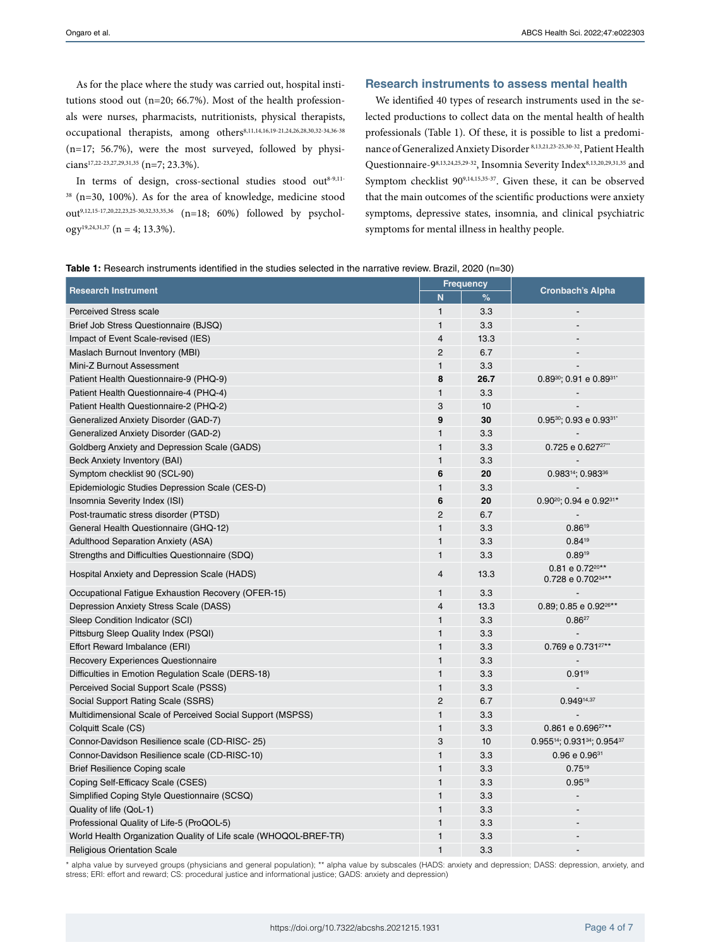As for the place where the study was carried out, hospital institutions stood out (n=20; 66.7%). Most of the health professionals were nurses, pharmacists, nutritionists, physical therapists, occupational therapists, among others<sup>8,11,14,16,19-21,24,26,28,30,32-34,36-38</sup> (n=17; 56.7%), were the most surveyed, followed by physicians17,22-23,27,29,31,35 (n=7; 23.3%).

In terms of design, cross-sectional studies stood out $8-9,11 38$  (n=30, 100%). As for the area of knowledge, medicine stood out<sup>9,12,15-17,20,22,23,25-30,32,33,35,36</sup> (n=18; 60%) followed by psychology<sup>19,24,31,37</sup> (n = 4; 13.3%).

#### **Research instruments to assess mental health**

We identified 40 types of research instruments used in the selected productions to collect data on the mental health of health professionals (Table 1). Of these, it is possible to list a predominance of Generalized Anxiety Disorder 8,13,21,23-25,30-32, Patient Health Questionnaire-98,13,24,25,29-32, Insomnia Severity Index<sup>8,13,20,29,31,35</sup> and Symptom checklist 909,14,15,35-37. Given these, it can be observed that the main outcomes of the scientific productions were anxiety symptoms, depressive states, insomnia, and clinical psychiatric symptoms for mental illness in healthy people.

| Table 1: Research instruments identified in the studies selected in the narrative review. Brazil, 2020 (n=30) |  |  |  |
|---------------------------------------------------------------------------------------------------------------|--|--|--|
|---------------------------------------------------------------------------------------------------------------|--|--|--|

| <b>Research Instrument</b>                                       |                 | <b>Frequency</b> |                                                              |
|------------------------------------------------------------------|-----------------|------------------|--------------------------------------------------------------|
|                                                                  |                 | %                | <b>Cronbach's Alpha</b>                                      |
| <b>Perceived Stress scale</b>                                    | 1               | 3.3              |                                                              |
| Brief Job Stress Questionnaire (BJSQ)                            | $\mathbf{1}$    | 3.3              |                                                              |
| Impact of Event Scale-revised (IES)                              | $\overline{4}$  | 13.3             |                                                              |
| Maslach Burnout Inventory (MBI)                                  | 2               | 6.7              |                                                              |
| Mini-Z Burnout Assessment                                        | $\mathbf{1}$    | 3.3              |                                                              |
| Patient Health Questionnaire-9 (PHQ-9)                           | 8               | 26.7             | $0.89^{30}$ ; 0.91 e 0.89 <sup>31*</sup>                     |
| Patient Health Questionnaire-4 (PHQ-4)                           | $\mathbf{1}$    | 3.3              |                                                              |
| Patient Health Questionnaire-2 (PHQ-2)                           | 3               | 10               |                                                              |
| Generalized Anxiety Disorder (GAD-7)                             | 9               | 30               | $0.95^{30}$ ; 0.93 e 0.93 <sup>31</sup>                      |
| Generalized Anxiety Disorder (GAD-2)                             | $\mathbf{1}$    | 3.3              |                                                              |
| Goldberg Anxiety and Depression Scale (GADS)                     | $\mathbf{1}$    | 3.3              | 0.725 e 0.627 <sup>27"</sup>                                 |
| Beck Anxiety Inventory (BAI)                                     | $\mathbf{1}$    | 3.3              |                                                              |
| Symptom checklist 90 (SCL-90)                                    | 6               | 20               | 0.98314; 0.98336                                             |
| Epidemiologic Studies Depression Scale (CES-D)                   | $\mathbf{1}$    | 3.3              |                                                              |
| Insomnia Severity Index (ISI)                                    | $6\phantom{1}6$ | 20               | $0.90^{20}$ ; 0.94 e 0.92 <sup>31*</sup>                     |
| Post-traumatic stress disorder (PTSD)                            | 2               | 6.7              |                                                              |
| General Health Questionnaire (GHQ-12)                            | $\mathbf{1}$    | 3.3              | $0.86^{19}$                                                  |
| <b>Adulthood Separation Anxiety (ASA)</b>                        | $\mathbf{1}$    | 3.3              | $0.84^{19}$                                                  |
| Strengths and Difficulties Questionnaire (SDQ)                   | $\mathbf{1}$    | 3.3              | 0.8919                                                       |
| Hospital Anxiety and Depression Scale (HADS)                     | $\overline{4}$  | 13.3             | 0.81 e 0.72 <sup>20**</sup><br>0.728 e 0.702 <sup>34**</sup> |
| Occupational Fatigue Exhaustion Recovery (OFER-15)               | $\mathbf{1}$    | 3.3              |                                                              |
| Depression Anxiety Stress Scale (DASS)                           | $\overline{4}$  | 13.3             | 0.89; 0.85 e $0.92^{26**}$                                   |
| Sleep Condition Indicator (SCI)                                  | $\mathbf{1}$    | 3.3              | $0.86^{27}$                                                  |
| Pittsburg Sleep Quality Index (PSQI)                             | $\mathbf{1}$    | 3.3              |                                                              |
| Effort Reward Imbalance (ERI)                                    | $\mathbf{1}$    | 3.3              | 0.769 e 0.731 <sup>27**</sup>                                |
| <b>Recovery Experiences Questionnaire</b>                        | $\mathbf{1}$    | 3.3              |                                                              |
| Difficulties in Emotion Regulation Scale (DERS-18)               | $\mathbf{1}$    | 3.3              | $0.91^{19}$                                                  |
| Perceived Social Support Scale (PSSS)                            | $\mathbf{1}$    | 3.3              |                                                              |
| Social Support Rating Scale (SSRS)                               | $\overline{2}$  | 6.7              | 0.94914,37                                                   |
| Multidimensional Scale of Perceived Social Support (MSPSS)       | $\mathbf{1}$    | 3.3              |                                                              |
| Colquitt Scale (CS)                                              | $\mathbf{1}$    | 3.3              | $0.861$ e $0.696^{27**}$                                     |
| Connor-Davidson Resilience scale (CD-RISC-25)                    | 3               | 10               | 0.95514; 0.93134; 0.95437                                    |
| Connor-Davidson Resilience scale (CD-RISC-10)                    | $\mathbf{1}$    | 3.3              | $0.96 \text{ e } 0.96$ <sup>31</sup>                         |
| <b>Brief Resilience Coping scale</b>                             | $\mathbf{1}$    | 3.3              | $0.75^{19}$                                                  |
| Coping Self-Efficacy Scale (CSES)                                | $\mathbf{1}$    | 3.3              | $0.95^{19}$                                                  |
| Simplified Coping Style Questionnaire (SCSQ)                     | $\mathbf{1}$    | 3.3              |                                                              |
| Quality of life (QoL-1)                                          | $\mathbf{1}$    | 3.3              |                                                              |
| Professional Quality of Life-5 (ProQOL-5)                        | $\mathbf{1}$    | 3.3              |                                                              |
| World Health Organization Quality of Life scale (WHOQOL-BREF-TR) | $\mathbf{1}$    | 3.3              |                                                              |
| <b>Religious Orientation Scale</b>                               | 1               | 3.3              |                                                              |

\* alpha value by surveyed groups (physicians and general population); \*\* alpha value by subscales (HADS: anxiety and depression; DASS: depression, anxiety, and stress; ERI: effort and reward; CS: procedural justice and informational justice; GADS: anxiety and depression)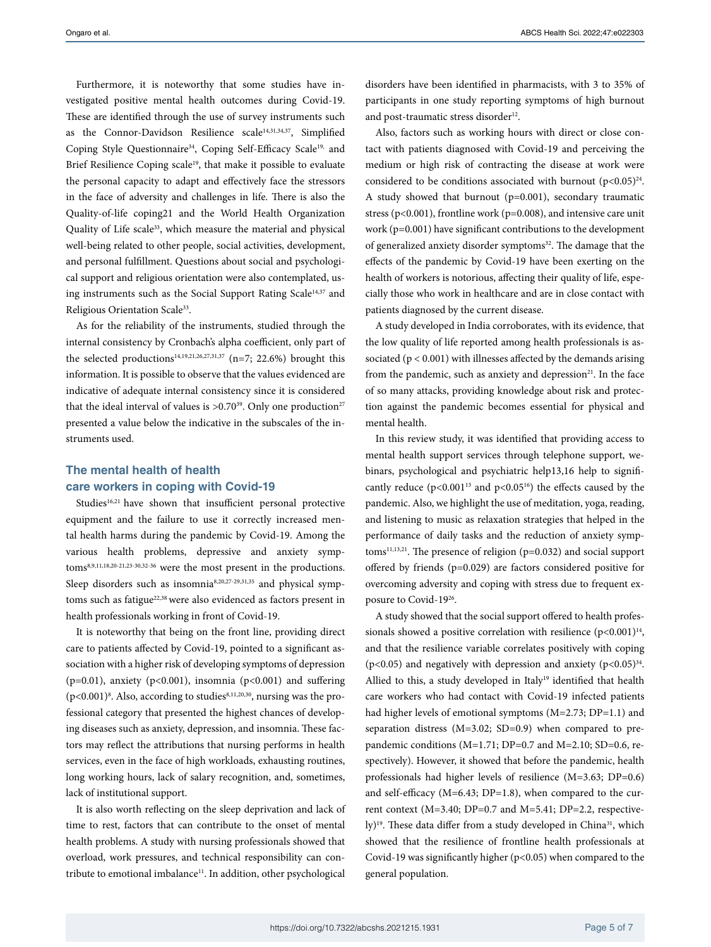Furthermore, it is noteworthy that some studies have investigated positive mental health outcomes during Covid-19. These are identified through the use of survey instruments such as the Connor-Davidson Resilience scale<sup>14,31,34,37</sup>, Simplified Coping Style Questionnaire<sup>34</sup>, Coping Self-Efficacy Scale<sup>19,</sup> and Brief Resilience Coping scale<sup>19</sup>, that make it possible to evaluate the personal capacity to adapt and effectively face the stressors in the face of adversity and challenges in life. There is also the Quality-of-life coping21 and the World Health Organization Quality of Life scale<sup>33</sup>, which measure the material and physical well-being related to other people, social activities, development, and personal fulfillment. Questions about social and psychological support and religious orientation were also contemplated, using instruments such as the Social Support Rating Scale<sup>14,37</sup> and Religious Orientation Scale<sup>33</sup>.

As for the reliability of the instruments, studied through the internal consistency by Cronbach's alpha coefficient, only part of the selected productions<sup>14,19,21,26,27,31,37</sup> (n=7; 22.6%) brought this information. It is possible to observe that the values evidenced are indicative of adequate internal consistency since it is considered that the ideal interval of values is  $>0.70^{39}$ . Only one production<sup>27</sup> presented a value below the indicative in the subscales of the instruments used.

# **The mental health of health care workers in coping with Covid-19**

Studies<sup>16,21</sup> have shown that insufficient personal protective equipment and the failure to use it correctly increased mental health harms during the pandemic by Covid-19. Among the various health problems, depressive and anxiety symptoms8,9,11,18,20-21,23-30,32-36 were the most present in the productions. Sleep disorders such as insomnia<sup>8,20,27-29,31,35</sup> and physical symptoms such as fatigue<sup>22,38</sup> were also evidenced as factors present in health professionals working in front of Covid-19.

It is noteworthy that being on the front line, providing direct care to patients affected by Covid-19, pointed to a significant association with a higher risk of developing symptoms of depression ( $p=0.01$ ), anxiety ( $p<0.001$ ), insomnia ( $p<0.001$ ) and suffering  $(p<0.001)<sup>8</sup>$ . Also, according to studies $^{8,11,20,30}$ , nursing was the professional category that presented the highest chances of developing diseases such as anxiety, depression, and insomnia. These factors may reflect the attributions that nursing performs in health services, even in the face of high workloads, exhausting routines, long working hours, lack of salary recognition, and, sometimes, lack of institutional support.

It is also worth reflecting on the sleep deprivation and lack of time to rest, factors that can contribute to the onset of mental health problems. A study with nursing professionals showed that overload, work pressures, and technical responsibility can contribute to emotional imbalance<sup>11</sup>. In addition, other psychological

disorders have been identified in pharmacists, with 3 to 35% of participants in one study reporting symptoms of high burnout and post-traumatic stress disorder<sup>12</sup>.

Also, factors such as working hours with direct or close contact with patients diagnosed with Covid-19 and perceiving the medium or high risk of contracting the disease at work were considered to be conditions associated with burnout  $(p<0.05)^{24}$ . A study showed that burnout (p=0.001), secondary traumatic stress ( $p<0.001$ ), frontline work ( $p=0.008$ ), and intensive care unit work (p=0.001) have significant contributions to the development of generalized anxiety disorder symptoms<sup>32</sup>. The damage that the effects of the pandemic by Covid-19 have been exerting on the health of workers is notorious, affecting their quality of life, especially those who work in healthcare and are in close contact with patients diagnosed by the current disease.

A study developed in India corroborates, with its evidence, that the low quality of life reported among health professionals is associated ( $p < 0.001$ ) with illnesses affected by the demands arising from the pandemic, such as anxiety and depression<sup>21</sup>. In the face of so many attacks, providing knowledge about risk and protection against the pandemic becomes essential for physical and mental health.

In this review study, it was identified that providing access to mental health support services through telephone support, webinars, psychological and psychiatric help13,16 help to significantly reduce  $(p<0.001^{13}$  and  $p<0.05^{16}$ ) the effects caused by the pandemic. Also, we highlight the use of meditation, yoga, reading, and listening to music as relaxation strategies that helped in the performance of daily tasks and the reduction of anxiety symptoms<sup>11,13,21</sup>. The presence of religion (p=0.032) and social support offered by friends (p=0.029) are factors considered positive for overcoming adversity and coping with stress due to frequent exposure to Covid-1926.

A study showed that the social support offered to health professionals showed a positive correlation with resilience  $(p<0.001)^{14}$ , and that the resilience variable correlates positively with coping (p<0.05) and negatively with depression and anxiety (p<0.05) $^{34}$ . Allied to this, a study developed in Italy<sup>19</sup> identified that health care workers who had contact with Covid-19 infected patients had higher levels of emotional symptoms (M=2.73; DP=1.1) and separation distress (M=3.02; SD=0.9) when compared to prepandemic conditions (M=1.71; DP=0.7 and M=2.10; SD=0.6, respectively). However, it showed that before the pandemic, health professionals had higher levels of resilience (M=3.63; DP=0.6) and self-efficacy (M=6.43; DP=1.8), when compared to the current context (M=3.40; DP=0.7 and M=5.41; DP=2.2, respectively)<sup>19</sup>. These data differ from a study developed in China<sup>31</sup>, which showed that the resilience of frontline health professionals at Covid-19 was significantly higher (p<0.05) when compared to the general population.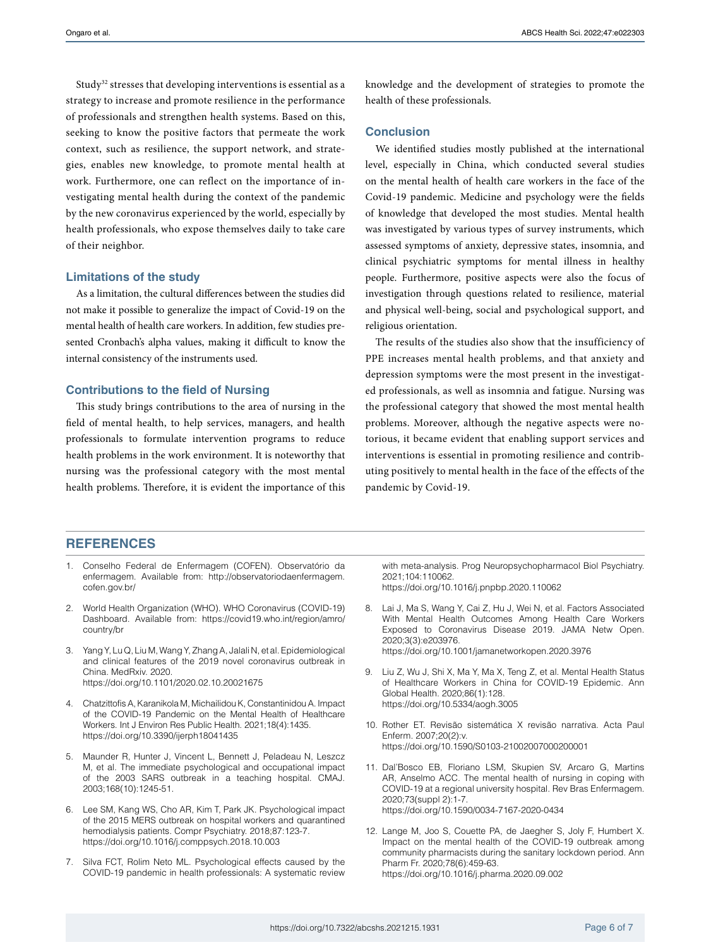Study<sup>32</sup> stresses that developing interventions is essential as a strategy to increase and promote resilience in the performance of professionals and strengthen health systems. Based on this, seeking to know the positive factors that permeate the work context, such as resilience, the support network, and strategies, enables new knowledge, to promote mental health at work. Furthermore, one can reflect on the importance of investigating mental health during the context of the pandemic by the new coronavirus experienced by the world, especially by health professionals, who expose themselves daily to take care of their neighbor.

#### **Limitations of the study**

As a limitation, the cultural differences between the studies did not make it possible to generalize the impact of Covid-19 on the mental health of health care workers. In addition, few studies presented Cronbach's alpha values, making it difficult to know the internal consistency of the instruments used.

#### **Contributions to the field of Nursing**

This study brings contributions to the area of nursing in the field of mental health, to help services, managers, and health professionals to formulate intervention programs to reduce health problems in the work environment. It is noteworthy that nursing was the professional category with the most mental health problems. Therefore, it is evident the importance of this

knowledge and the development of strategies to promote the health of these professionals.

#### **Conclusion**

We identified studies mostly published at the international level, especially in China, which conducted several studies on the mental health of health care workers in the face of the Covid-19 pandemic. Medicine and psychology were the fields of knowledge that developed the most studies. Mental health was investigated by various types of survey instruments, which assessed symptoms of anxiety, depressive states, insomnia, and clinical psychiatric symptoms for mental illness in healthy people. Furthermore, positive aspects were also the focus of investigation through questions related to resilience, material and physical well-being, social and psychological support, and religious orientation.

The results of the studies also show that the insufficiency of PPE increases mental health problems, and that anxiety and depression symptoms were the most present in the investigated professionals, as well as insomnia and fatigue. Nursing was the professional category that showed the most mental health problems. Moreover, although the negative aspects were notorious, it became evident that enabling support services and interventions is essential in promoting resilience and contributing positively to mental health in the face of the effects of the pandemic by Covid-19.

## **REFERENCES**

- 1. Conselho Federal de Enfermagem (COFEN). Observatório da enfermagem. Available from: [http://observatoriodaenfermagem.](http://observatoriodaenfermagem.cofen.gov.br/) [cofen.gov.br/](http://observatoriodaenfermagem.cofen.gov.br/)
- 2. World Health Organization (WHO). WHO Coronavirus (COVID-19) Dashboard. Available from: [https://covid19.who.int/region/amro/](https://covid19.who.int/region/amro/country/br) [country/br](https://covid19.who.int/region/amro/country/br)
- 3. Yang Y, Lu Q, Liu M, Wang Y, Zhang A, Jalali N, et al. Epidemiological and clinical features of the 2019 novel coronavirus outbreak in China. MedRxiv. 2020. <https://doi.org/10.1101/2020.02.10.20021675>
- 4. Chatzittofis A, Karanikola M, Michailidou K, Constantinidou A. Impact of the COVID-19 Pandemic on the Mental Health of Healthcare Workers. Int J Environ Res Public Health. 2021;18(4):1435. <https://doi.org/10.3390/ijerph18041435>
- 5. Maunder R, Hunter J, Vincent L, Bennett J, Peladeau N, Leszcz M, et al. The immediate psychological and occupational impact of the 2003 SARS outbreak in a teaching hospital. CMAJ. 2003;168(10):1245-51.
- 6. Lee SM, Kang WS, Cho AR, Kim T, Park JK. Psychological impact of the 2015 MERS outbreak on hospital workers and quarantined hemodialysis patients. Compr Psychiatry. 2018;87:123-7. <https://doi.org/10.1016/j.comppsych.2018.10.003>
- 7. Silva FCT, Rolim Neto ML. Psychological effects caused by the COVID-19 pandemic in health professionals: A systematic review

with meta-analysis. Prog Neuropsychopharmacol Biol Psychiatry. 2021;104:110062. <https://doi.org/10.1016/j.pnpbp.2020.110062>

- 8. Lai J, Ma S, Wang Y, Cai Z, Hu J, Wei N, et al. Factors Associated With Mental Health Outcomes Among Health Care Workers Exposed to Coronavirus Disease 2019. JAMA Netw Open. 2020;3(3):e203976. <https://doi.org/10.1001/jamanetworkopen.2020.3976>
- 9. Liu Z, Wu J, Shi X, Ma Y, Ma X, Teng Z, et al. Mental Health Status of Healthcare Workers in China for COVID-19 Epidemic. Ann Global Health. 2020;86(1):128. <https://doi.org/10.5334/aogh.3005>
- 10. Rother ET. Revisão sistemática X revisão narrativa. Acta Paul Enferm. 2007;20(2):v. [https://doi.org/10.1590/S0103-21002007000200001](https://doi.org/10.1590/S0103-21002007000200001 )
- 11. Dal'Bosco EB, Floriano LSM, Skupien SV, Arcaro G, Martins AR, Anselmo ACC. The mental health of nursing in coping with COVID-19 at a regional university hospital. Rev Bras Enfermagem. 2020;73(suppl 2):1-7. <https://doi.org/10.1590/0034-7167-2020-0434>
- 12. Lange M, Joo S, Couette PA, de Jaegher S, Joly F, Humbert X. Impact on the mental health of the COVID-19 outbreak among community pharmacists during the sanitary lockdown period. Ann Pharm Fr. 2020;78(6):459-63. [https://doi.org/10.1016/j.pharma.2020.09.002](https://doi.org/10.1016/j.pharma.2020.09.002 )